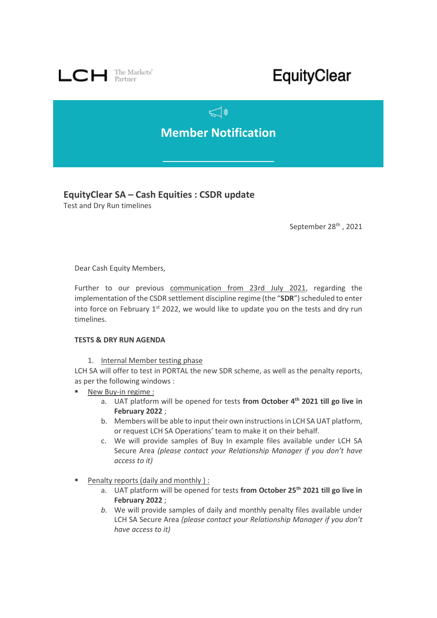

# EquityClear

# $\mathbb{C}$ **Member Notification**

## **EquityClear SA – Cash Equities : CSDR update**

Test and Dry Run timelines

September 28<sup>th</sup>, 2021

Dear Cash Equity Members,

Further to our previous [communication from 23rd July 2021,](https://www.lch.com/system/files/media_root/LCH%20SA%20Bulletin%20-%20CSDR%20Update%20-%20Adaptation%20Plan.pdf) regarding the implementation of the CSDR settlement discipline regime (the "**SDR**") scheduled to enter into force on February  $1^{st}$  2022, we would like to update you on the tests and dry run timelines.

### **TESTS & DRY RUN AGENDA**

1. Internal Member testing phase

LCH SA will offer to test in PORTAL the new SDR scheme, as well as the penalty reports, as per the following windows :

- New Buy-in regime :
	- a. UAT platform will be opened for tests **from October 4th 2021 till go live in February 2022** ;
	- b. Members will be able to input their own instructions in LCH SA UAT platform, or request LCH SA Operations' team to make it on their behalf.
	- c. We will provide samples of Buy In example files available under LCH SA Secure Area *(please contact your Relationship Manager if you don't have access to it)*
- Penalty reports (daily and monthly) :
	- a. UAT platform will be opened for tests **from October 25th 2021 till go live in February 2022** ;
	- *b.* We will provide samples of daily and monthly penalty files available under LCH SA Secure Area *(please contact your Relationship Manager if you don't have access to it)*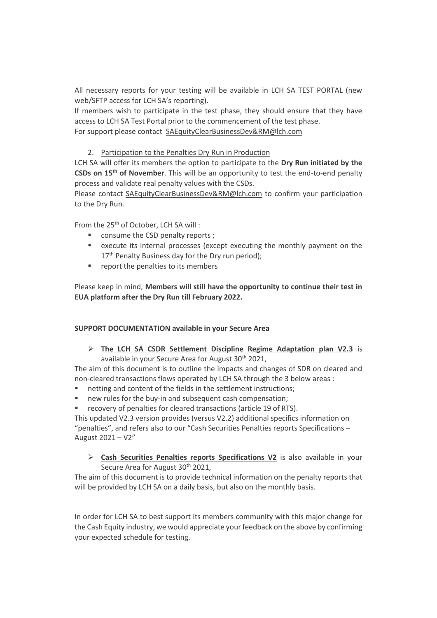All necessary reports for your testing will be available in LCH SA TEST PORTAL (new web/SFTP access for LCH SA's reporting).

If members wish to participate in the test phase, they should ensure that they have access to LCH SA Test Portal prior to the commencement of the test phase. For support please contact [SAEquityClearBusinessDev&RM@lch.com](mailto:SAEquityClearBusinessDev&RM@lch.com)

2. Participation to the Penalties Dry Run in Production

LCH SA will offer its members the option to participate to the **Dry Run initiated by the CSDs on 15th of November**. This will be an opportunity to test the end-to-end penalty process and validate real penalty values with the CSDs.

Please contact [SAEquityClearBusinessDev&RM@lch.com](mailto:SAEquityClearBusinessDev&RM@lch.com) to confirm your participation to the Dry Run.

From the 25<sup>th</sup> of October, LCH SA will:

- consume the CSD penalty reports ;
- execute its internal processes (except executing the monthly payment on the 17<sup>th</sup> Penalty Business day for the Dry run period);
- report the penalties to its members

Please keep in mind, **Members will still have the opportunity to continue their test in EUA platform after the Dry Run till February 2022.** 

### **SUPPORT DOCUMENTATION available in your Secure Area**

➢ **The LCH SA CSDR Settlement Discipline Regime Adaptation plan V2.3** is available in your Secure Area for August 30<sup>th</sup> 2021,

The aim of this document is to outline the impacts and changes of SDR on cleared and non-cleared transactions flows operated by LCH SA through the 3 below areas :

- netting and content of the fields in the settlement instructions;
- new rules for the buy-in and subsequent cash compensation;
- recovery of penalties for cleared transactions (article 19 of RTS).

This updated V2.3 version provides (versus V2.2) additional specifics information on "penalties", and refers also to our "Cash Securities Penalties reports Specifications – August 2021 – V2"

➢ **Cash Securities Penalties reports Specifications V2** is also available in your Secure Area for August 30<sup>th</sup> 2021,

The aim of this document is to provide technical information on the penalty reports that will be provided by LCH SA on a daily basis, but also on the monthly basis.

In order for LCH SA to best support its members community with this major change for the Cash Equity industry, we would appreciate your feedback on the above by confirming your expected schedule for testing.